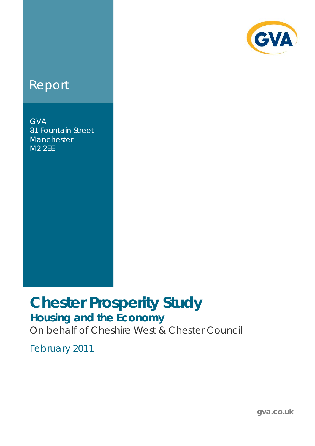

# **Report**

GVA 81 Fountain Street **Manchester** M2 2EE

# **Chester Prosperity Study Housing and the Economy**

On behalf of Cheshire West & Chester Council

February 2011

**gva.co.uk**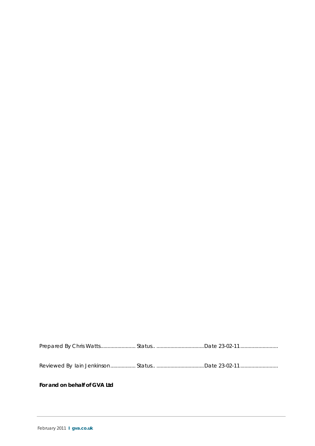Prepared By Chris Watts......................... Status.. ..................................Date 23-02-11 ...........................

Reviewed By Iain Jenkinson.................. Status.. ..................................Date 23-02-11 ...........................

#### **For and on behalf of GVA Ltd**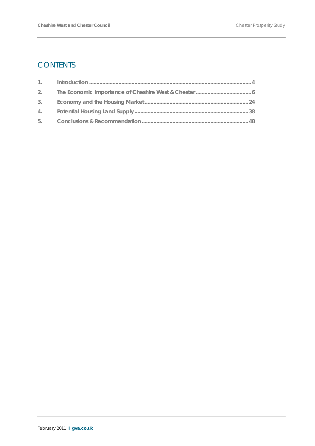# **CONTENTS**

| 2. |  |
|----|--|
| 3. |  |
|    |  |
|    |  |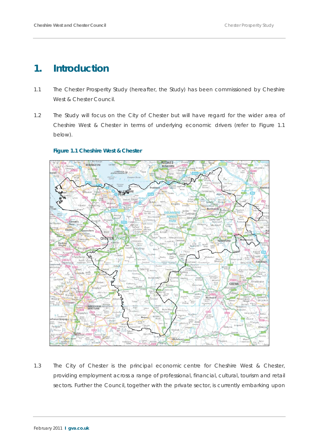# **1. Introduction**

- 1.1 The Chester Prosperity Study (hereafter, the Study) has been commissioned by Cheshire West & Chester Council.
- 1.2 The Study will focus on the City of Chester but will have regard for the wider area of Cheshire West & Chester in terms of underlying economic drivers (refer to Figure 1.1 below).

#### **Figure 1.1 Cheshire West & Chester**



1.3 The City of Chester is the principal economic centre for Cheshire West & Chester, providing employment across a range of professional, financial, cultural, tourism and retail sectors. Further the Council, together with the private sector, is currently embarking upon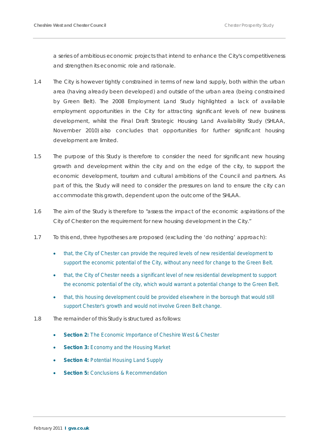a series of ambitious economic projects that intend to enhance the City's competitiveness and strengthen its economic role and rationale.

- 1.4 The City is however tightly constrained in terms of new land supply, both within the urban area (having already been developed) and outside of the urban area (being constrained by Green Belt). The 2008 Employment Land Study highlighted a lack of available employment opportunities in the City for attracting significant levels of new business development, whilst the Final Draft Strategic Housing Land Availability Study (SHLAA, November 2010) also concludes that opportunities for further significant housing development are limited.
- 1.5 The purpose of this Study is therefore to consider the need for significant new housing growth and development within the city and on the edge of the city, to support the economic development, tourism and cultural ambitions of the Council and partners. As part of this, the Study will need to consider the pressures on land to ensure the city can accommodate this growth, dependent upon the outcome of the SHLAA.
- 1.6 The aim of the Study is therefore to "assess the impact of the economic aspirations of the City of Chester on the requirement for new housing development in the City."
- 1.7 To this end, three hypotheses are proposed (excluding the 'do nothing' approach):
	- that, the City of Chester can provide the required levels of new residential development to support the economic potential of the City, without any need for change to the Green Belt.
	- that, the City of Chester needs a significant level of new residential development to support the economic potential of the city, which would warrant a potential change to the Green Belt.
	- that, this housing development could be provided elsewhere in the borough that would still support Chester's growth and would not involve Green Belt change.
- 1.8 The remainder of this Study is structured as follows:
	- **Section 2:** The Economic Importance of Cheshire West & Chester
	- **Section 3: Economy and the Housing Market**
	- **Section 4: Potential Housing Land Supply**
	- **Section 5: Conclusions & Recommendation**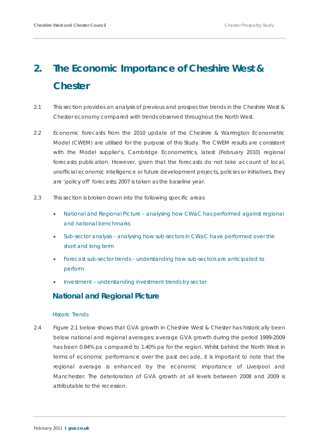# **2. The Economic Importance of Cheshire West & Chester**

- 2.1 This section provides an analysis of previous and prospective trends in the Cheshire West & Chester economy compared with trends observed throughout the North West.
- 2.2 Economic forecasts from the 2010 update of the Cheshire & Warrington Econometric Model (CWEM) are utilised for the purpose of this Study. The CWEM results are consistent with the Model supplier's, Cambridge Econometrics, latest (February 2010) regional forecasts publication. However, given that the forecasts do not take account of local, unofficial economic intelligence or future development projects, policies or initiatives, they are 'policy off' forecasts; 2007 is taken as the baseline year.
- 2.3 This section is broken down into the following specific areas
	- National and Regional Picture analysing how CWaC has performed against regional and national benchmarks
	- Sub-sector analysis analysing how sub-sectors in CWaC have performed over the short and long term
	- Forecast sub-sector trends understanding how sub-sectors are anticipated to perform
	- Investment understanding investment trends by sector

# **National and Regional Picture**

#### *Historic Trends*

2.4 Figure 2.1 below shows that GVA growth in Cheshire West & Chester has historically been below national and regional averages; average GVA growth during the period 1999-2009 has been 0.84% pa compared to 1.40% pa for the region. Whilst behind the North West in terms of economic performance over the past decade, it is important to note that the regional average is enhanced by the economic importance of Liverpool and Manchester. The deterioration of GVA growth at all levels between 2008 and 2009 is attributable to the recession.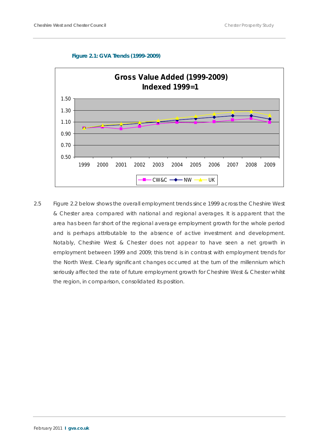#### **Figure 2.1: GVA Trends (1999-2009)**



2.5 Figure 2.2 below shows the overall employment trends since 1999 across the Cheshire West & Chester area compared with national and regional averages. It is apparent that the area has been far short of the regional average employment growth for the whole period and is perhaps attributable to the absence of active investment and development. Notably, Cheshire West & Chester does not appear to have seen a net growth in employment between 1999 and 2009; this trend is in contrast with employment trends for the North West. Clearly significant changes occurred at the turn of the millennium which seriously affected the rate of future employment growth for Cheshire West & Chester whilst the region, in comparison, consolidated its position.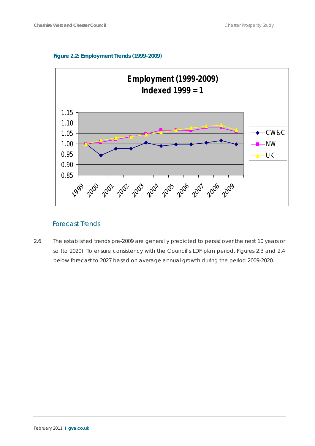#### **Figure 2.2: Employment Trends (1999-2009)**



## Forecast Trends

2.6 The established trends pre-2009 are generally predicted to persist over the next 10 years or so (to 2020). To ensure consistency with the Council's LDF plan period, Figures 2.3 and 2.4 below forecast to 2027 based on average annual growth during the period 2009-2020.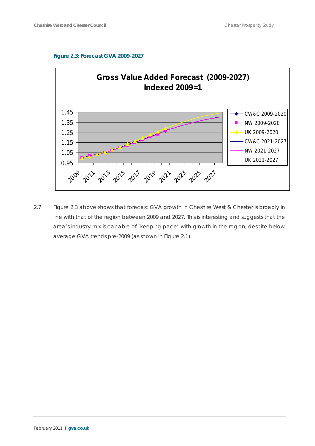



2.7 Figure 2.3 above shows that forecast GVA growth in Cheshire West & Chester is broadly in line with that of the region between 2009 and 2027. This is interesting and suggests that the area's industry mix is capable of 'keeping pace' with growth in the region, despite below average GVA trends pre-2009 (as shown in Figure 2.1).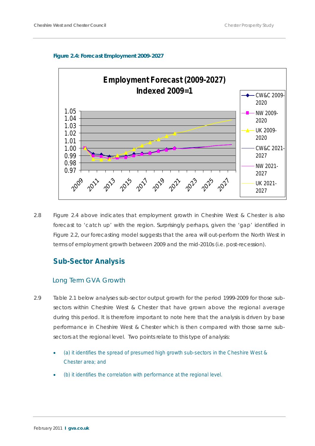#### **Figure 2.4: Forecast Employment 2009-2027**



2.8 Figure 2.4 above indicates that employment growth in Cheshire West & Chester is also forecast to 'catch up' with the region. Surprisingly perhaps, given the 'gap' identified in Figure 2.2, our forecasting model suggests that the area will out-perform the North West in terms of employment growth between 2009 and the mid-2010s (i.e. post-recession).

# **Sub-Sector Analysis**

## Long Term GVA Growth

- 2.9 Table 2.1 below analyses sub-sector output growth for the period 1999-2009 for those subsectors within Cheshire West & Chester that have grown above the regional average during this period. It is therefore important to note here that the analysis is driven by base performance in Cheshire West & Chester which is then compared with those same subsectors at the regional level. Two points relate to this type of analysis:
	- (a) it identifies the spread of presumed high growth sub-sectors in the Cheshire West & Chester area; and
	- (b) it identifies the correlation with performance at the regional level.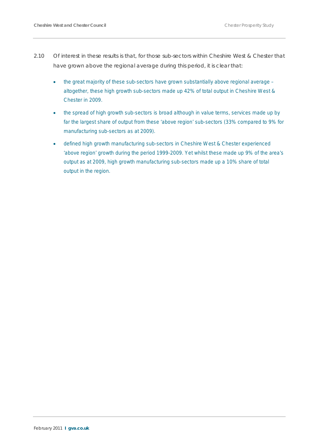- 2.10 Of interest in these results is that, for those sub-sectors within Cheshire West & Chester that have grown above the regional average during this period, it is clear that:
	- the great majority of these sub-sectors have grown substantially above regional average altogether, these high growth sub-sectors made up 42% of total output in Cheshire West & Chester in 2009.
	- the spread of high growth sub-sectors is broad although in value terms, services made up by far the largest share of output from these 'above region' sub-sectors (33% compared to 9% for manufacturing sub-sectors as at 2009).
	- defined high growth manufacturing sub-sectors in Cheshire West & Chester experienced 'above region' growth during the period 1999-2009. Yet whilst these made up 9% of the area's output as at 2009, high growth manufacturing sub-sectors made up a 10% share of total output in the region.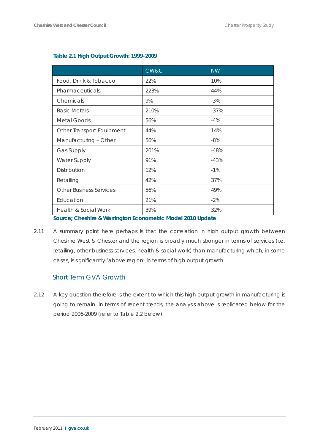|                                | CW&C | <b>NW</b> |
|--------------------------------|------|-----------|
| Food, Drink & Tobacco          | 22%  | 10%       |
| Pharmaceuticals                | 223% | 44%       |
| Chemicals                      | 9%   | $-3%$     |
| <b>Basic Metals</b>            | 210% | $-37%$    |
| Metal Goods                    | 56%  | $-4%$     |
| Other Transport Equipment      | 44%  | 14%       |
| Manufacturing - Other          | 56%  | $-8%$     |
| <b>Gas Supply</b>              | 201% | $-48%$    |
| <b>Water Supply</b>            | 91%  | $-43%$    |
| Distribution                   | 12%  | $-1%$     |
| Retailing                      | 42%  | 37%       |
| <b>Other Business Services</b> | 56%  | 49%       |
| Education                      | 21%  | $-2\%$    |
| Health & Social Work           | 39%  | 32%       |

## **Table 2.1 High Output Growth: 1999-2009**

**Source; Cheshire & Warrington Econometric Model 2010 Update**

2.11 A summary point here perhaps is that the correlation in high output growth between Cheshire West & Chester and the region is broadly much stronger in terms of services (i.e. retailing, other business services, health & social work) than manufacturing which, in some cases, is significantly 'above region' in terms of high output growth.

# Short Term GVA Growth

2.12 A key question therefore is the extent to which this high output growth in manufacturing is going to remain. In terms of recent trends, the analysis above is replicated below for the period 2006-2009 (refer to Table 2.2 below).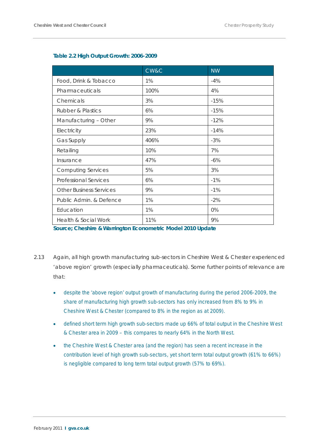|                                 | CW&C | <b>NW</b> |
|---------------------------------|------|-----------|
| Food, Drink & Tobacco           | 1%   | $-4%$     |
| Pharmaceuticals                 | 100% | 4%        |
| Chemicals                       | 3%   | $-15%$    |
| <b>Rubber &amp; Plastics</b>    | 6%   | $-15%$    |
| Manufacturing - Other           | 9%   | $-12%$    |
| Electricity                     | 23%  | $-14%$    |
| <b>Gas Supply</b>               | 406% | $-3%$     |
| Retailing                       | 10%  | 7%        |
| Insurance                       | 47%  | $-6%$     |
| <b>Computing Services</b>       | 5%   | 3%        |
| <b>Professional Services</b>    | 6%   | $-1%$     |
| <b>Other Business Services</b>  | 9%   | $-1%$     |
| Public Admin. & Defence         | 1%   | $-2%$     |
| Education                       | 1%   | 0%        |
| <b>Health &amp; Social Work</b> | 11%  | 9%        |

#### **Table 2.2 High Output Growth: 2006-2009**

**Source; Cheshire & Warrington Econometric Model 2010 Update**

- 2.13 Again, all high growth manufacturing sub-sectors in Cheshire West & Chester experienced 'above region' growth (especially pharmaceuticals). Some further points of relevance are that:
	- despite the 'above region' output growth of manufacturing during the period 2006-2009, the share of manufacturing high growth sub-sectors has only increased from 8% to 9% in Cheshire West & Chester (compared to 8% in the region as at 2009).
	- defined short term high growth sub-sectors made up 66% of total output in the Cheshire West & Chester area in 2009 – this compares to nearly 64% in the North West.
	- the Cheshire West & Chester area (and the region) has seen a recent increase in the contribution level of high growth sub-sectors, yet short term total output growth (61% to 66%) is negligible compared to long term total output growth (57% to 69%).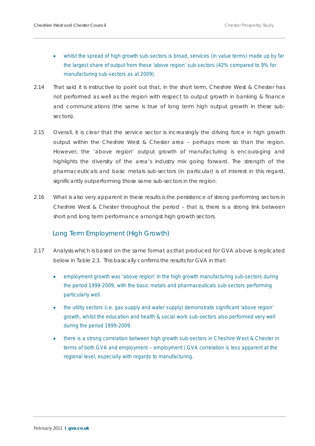- whilst the spread of high growth sub-sectors is broad, services (in value terms) made up by far the largest share of output from these 'above region' sub-sectors (42% compared to 9% for manufacturing sub-sectors as at 2009).
- 2.14 That said it is instructive to point out that, in the short term, Cheshire West & Chester has not performed as well as the region with respect to output growth in banking & finance and communications (the same is true of long term high output growth in these subsectors).
- 2.15 Overall, it is clear that the service sector is increasingly the driving force in high growth output within the Cheshire West & Chester area – perhaps more so than the region. However, the 'above region' output growth of manufacturing is encouraging and highlights the diversity of the area's industry mix going forward. The strength of the pharmaceuticals and basic metals sub-sectors (in particular) is of interest in this regard, significantly outperforming those same sub-sectors in the region.
- 2.16 What is also very apparent in these results is the persistence of strong performing sectors in Cheshire West & Chester throughout the period – that is, there is a strong link between short and long term performance amongst high growth sectors.

## Long Term Employment (High Growth)

- 2.17 Analysis which is based on the same format as that produced for GVA above is replicated below in Table 2.3. This basically confirms the results for GVA in that:
	- employment growth was 'above region' in the high growth manufacturing sub-sectors during the period 1999-2009, with the basic metals and pharmaceuticals sub-sectors performing particularly well.
	- the utility sectors (i.e. gas supply and water supply) demonstrate significant 'above region' growth, whilst the education and health & social work sub-sectors also performed very well during the period 1999-2009.
	- there is a strong correlation between high growth sub-sectors in Cheshire West & Chester in terms of both GVA and employment – employment / GVA correlation is less apparent at the regional level, especially with regards to manufacturing.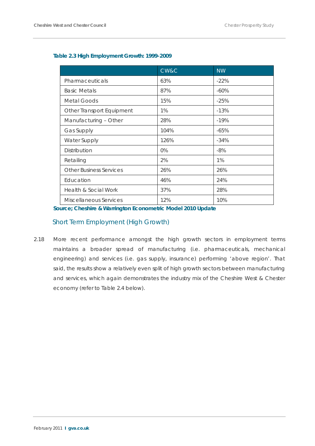|                                 | CW&C  | <b>NW</b> |
|---------------------------------|-------|-----------|
| Pharmaceuticals                 | 63%   | $-22%$    |
| <b>Basic Metals</b>             | 87%   | $-60%$    |
| Metal Goods                     | 15%   | $-25%$    |
| Other Transport Equipment       | 1%    | $-13%$    |
| Manufacturing - Other           | 28%   | $-19%$    |
| <b>Gas Supply</b>               | 104%  | $-65%$    |
| <b>Water Supply</b>             | 126%  | $-34%$    |
| Distribution                    | $0\%$ | $-8%$     |
| Retailing                       | 2%    | 1%        |
| <b>Other Business Services</b>  | 26%   | 26%       |
| Education                       | 46%   | 24%       |
| <b>Health &amp; Social Work</b> | 37%   | 28%       |
| Miscellaneous Services          | 12%   | 10%       |

### **Table 2.3 High Employment Growth: 1999-2009**

**Source; Cheshire & Warrington Econometric Model 2010 Update**

## Short Term Employment (High Growth)

2.18 More recent performance amongst the high growth sectors in employment terms maintains a broader spread of manufacturing (i.e. pharmaceuticals, mechanical engineering) and services (i.e. gas supply, insurance) performing 'above region'. That said, the results show a relatively even split of high growth sectors between manufacturing and services, which again demonstrates the industry mix of the Cheshire West & Chester economy (refer to Table 2.4 below).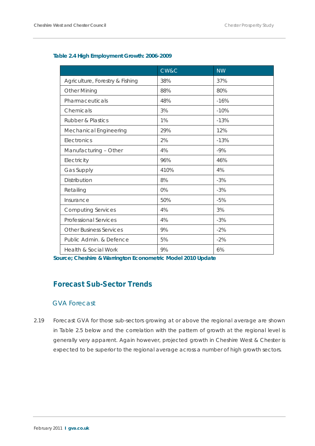|                                 | CW&C | <b>NW</b> |
|---------------------------------|------|-----------|
| Agriculture, Forestry & Fishing | 38%  | 37%       |
| <b>Other Mining</b>             | 88%  | 80%       |
| Pharmaceuticals                 | 48%  | $-16%$    |
| Chemicals                       | 3%   | $-10%$    |
| <b>Rubber &amp; Plastics</b>    | 1%   | $-13%$    |
| Mechanical Engineering          | 29%  | 12%       |
| Electronics                     | 2%   | $-13%$    |
| Manufacturing - Other           | 4%   | $-9%$     |
| Electricity                     | 96%  | 46%       |
| Gas Supply                      | 410% | 4%        |
| Distribution                    | 8%   | $-3%$     |
| Retailing                       | 0%   | $-3%$     |
| Insurance                       | 50%  | $-5%$     |
| <b>Computing Services</b>       | 4%   | 3%        |
| <b>Professional Services</b>    | 4%   | $-3%$     |
| <b>Other Business Services</b>  | 9%   | $-2%$     |
| Public Admin. & Defence         | 5%   | $-2%$     |
| Health & Social Work            | 9%   | 6%        |

#### **Table 2.4 High Employment Growth: 2006-2009**

**Source; Cheshire & Warrington Econometric Model 2010 Update**

# **Forecast Sub-Sector Trends**

## GVA Forecast

2.19 Forecast GVA for those sub-sectors growing at or above the regional average are shown in Table 2.5 below and the correlation with the pattern of growth at the regional level is generally very apparent. Again however, projected growth in Cheshire West & Chester is expected to be superior to the regional average across a number of high growth sectors.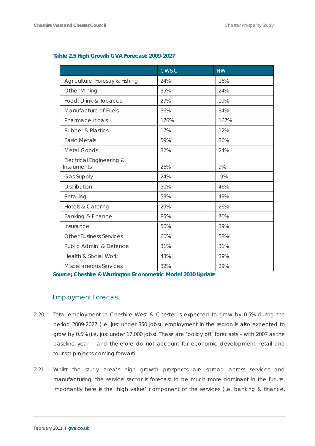|                                         | CW&C | <b>NW</b> |
|-----------------------------------------|------|-----------|
| Agriculture, Forestry & Fishing         | 24%  | 16%       |
| <b>Other Mining</b>                     | 35%  | 24%       |
| Food, Drink & Tobacco                   | 27%  | 19%       |
| Manufacture of Fuels                    | 36%  | 34%       |
| Pharmaceuticals                         | 176% | 167%      |
| <b>Rubber &amp; Plastics</b>            | 17%  | 12%       |
| <b>Basic Metals</b>                     | 59%  | 36%       |
| <b>Metal Goods</b>                      | 32%  | 24%       |
| Electrical Engineering &<br>Instruments | 26%  | 9%        |
| Gas Supply                              | 24%  | $-9%$     |
| Distribution                            | 50%  | 46%       |
| Retailing                               | 53%  | 49%       |
| Hotels & Catering                       | 29%  | 26%       |
| Banking & Finance                       | 85%  | 70%       |
| Insurance                               | 50%  | 39%       |
| <b>Other Business Services</b>          | 60%  | 58%       |
| Public Admin. & Defence                 | 31%  | 31%       |
| <b>Health &amp; Social Work</b>         | 43%  | 39%       |
| Miscellaneous Services                  | 32%  | 29%       |

#### **Table 2.5 High Growth GVA Forecast: 2009-2027**

**Source; Cheshire & Warrington Econometric Model 2010 Update**

## Employment Forecast

- 2.20 Total employment in Cheshire West & Chester is expected to grow by 0.5% during the period 2009-2027 (i.e. just under 850 jobs); employment in the region is also expected to grow by 0.5% (i.e. just under 17,000 jobs). These are 'policy off' forecasts – with 2007 as the baseline year – and therefore do not account for economic development, retail and tourism projects coming forward.
- 2.21 Whilst the study area's high growth prospects are spread across services and manufacturing, the service sector is forecast to be much more dominant in the future. Importantly here is the 'high value' component of the services (i.e. banking & finance,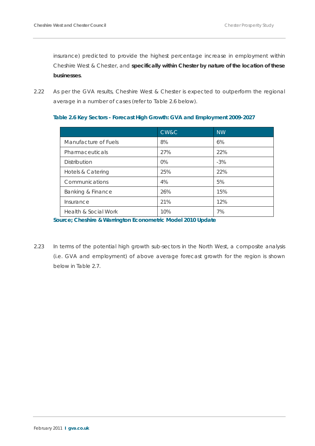insurance) predicted to provide the highest percentage increase in employment within Cheshire West & Chester, and **specifically within Chester by nature of the location of these businesses**.

2.22 As per the GVA results, Cheshire West & Chester is expected to outperform the regional average in a number of cases (refer to Table 2.6 below).

| Table 2.6 Key Sectors - Forecast High Growth: GVA and Employment 2009-2027 |  |  |
|----------------------------------------------------------------------------|--|--|
|                                                                            |  |  |

|                      | CW&C  | <b>NW</b> |
|----------------------|-------|-----------|
| Manufacture of Fuels | 8%    | 6%        |
| Pharmaceuticals      | 27%   | 22%       |
| <b>Distribution</b>  | $0\%$ | $-3%$     |
| Hotels & Catering    | 25%   | 22%       |
| Communications       | 4%    | 5%        |
| Banking & Finance    | 26%   | 15%       |
| Insurance            | 21%   | 12%       |
| Health & Social Work | 10%   | 7%        |

**Source; Cheshire & Warrington Econometric Model 2010 Update**

2.23 In terms of the potential high growth sub-sectors in the North West, a composite analysis (i.e. GVA and employment) of above average forecast growth for the region is shown below in Table 2.7.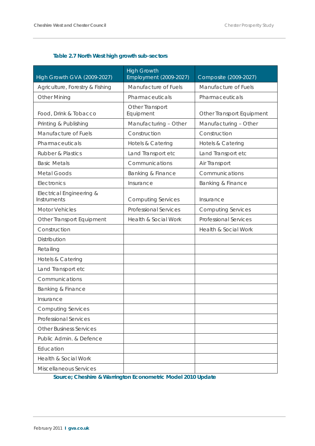# **Table 2.7 North West high growth sub-sectors**

| High Growth GVA (2009-2027)             | <b>High Growth</b><br>Employment (2009-2027) | Composite (2009-2027)           |
|-----------------------------------------|----------------------------------------------|---------------------------------|
| Agriculture, Forestry & Fishing         | Manufacture of Fuels                         | Manufacture of Fuels            |
| <b>Other Mining</b>                     | Pharmaceuticals                              | Pharmaceuticals                 |
| Food, Drink & Tobacco                   | Other Transport<br>Equipment                 | Other Transport Equipment       |
| Printing & Publishing                   | Manufacturing - Other                        | Manufacturing - Other           |
| Manufacture of Fuels                    | Construction                                 | Construction                    |
| Pharmaceuticals                         | Hotels & Catering                            | Hotels & Catering               |
| <b>Rubber &amp; Plastics</b>            | Land Transport etc                           | Land Transport etc              |
| <b>Basic Metals</b>                     | Communications                               | Air Transport                   |
| <b>Metal Goods</b>                      | Banking & Finance                            | Communications                  |
| Electronics                             | Insurance                                    | Banking & Finance               |
| Electrical Engineering &<br>Instruments | <b>Computing Services</b>                    | Insurance                       |
| <b>Motor Vehicles</b>                   | <b>Professional Services</b>                 | <b>Computing Services</b>       |
| Other Transport Equipment               | <b>Health &amp; Social Work</b>              | <b>Professional Services</b>    |
| Construction                            |                                              | <b>Health &amp; Social Work</b> |
| Distribution                            |                                              |                                 |
| Retailing                               |                                              |                                 |
| Hotels & Catering                       |                                              |                                 |
| Land Transport etc                      |                                              |                                 |
| Communications                          |                                              |                                 |
| Banking & Finance                       |                                              |                                 |
| Insurance                               |                                              |                                 |
| <b>Computing Services</b>               |                                              |                                 |
| <b>Professional Services</b>            |                                              |                                 |
| <b>Other Business Services</b>          |                                              |                                 |
| Public Admin, & Defence                 |                                              |                                 |
| Education                               |                                              |                                 |
| Health & Social Work                    |                                              |                                 |
| Miscellaneous Services                  |                                              |                                 |

**Source; Cheshire & Warrington Econometric Model 2010 Update**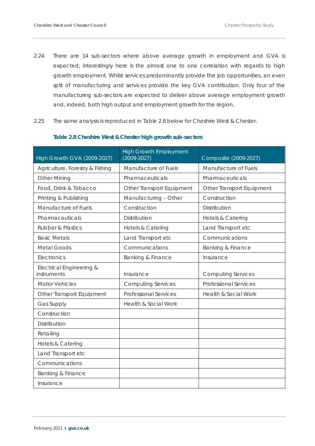- 2.24 There are 14 sub-sectors where above average growth in employment and GVA is expected; interestingly here is the almost one to one correlation with regards to high growth employment. Whilst services predominantly provide the job opportunities, an even split of manufacturing and services provide the key GVA contribution. Only four of the manufacturing sub-sectors are expected to deliver above average employment growth and, indeed, both high output and employment growth for the region.
- 2.25 The same analysis is reproduced in Table 2.8 below for Cheshire West & Chester.

| High Growth GVA (2009-2027)             | <b>High Growth Employment</b><br>$(2009 - 2027)$ | Composite (2009-2027)           |
|-----------------------------------------|--------------------------------------------------|---------------------------------|
| Agriculture, Forestry & Fishing         | Manufacture of Fuels                             | Manufacture of Fuels            |
| <b>Other Mining</b>                     | Pharmaceuticals                                  | Pharmaceuticals                 |
| Food, Drink & Tobacco                   | Other Transport Equipment                        | Other Transport Equipment       |
| Printing & Publishing                   | Manufacturing - Other                            | Construction                    |
| Manufacture of Fuels                    | Construction                                     | <b>Distribution</b>             |
| Pharmaceuticals                         | Distribution                                     | Hotels & Catering               |
| <b>Rubber &amp; Plastics</b>            | Hotels & Catering                                | Land Transport etc              |
| <b>Basic Metals</b>                     | Land Transport etc                               | Communications                  |
| <b>Metal Goods</b>                      | Communications                                   | Banking & Finance               |
| Electronics                             | Banking & Finance                                | Insurance                       |
| Electrical Engineering &<br>instruments | Insurance                                        | <b>Computing Services</b>       |
| <b>Motor Vehicles</b>                   | <b>Computing Services</b>                        | <b>Professional Services</b>    |
| Other Transport Equipment               | <b>Professional Services</b>                     | <b>Health &amp; Social Work</b> |
| Gas Supply                              | Health & Social Work                             |                                 |
| Construction                            |                                                  |                                 |
| Distribution                            |                                                  |                                 |
| Retailing                               |                                                  |                                 |
| Hotels & Catering                       |                                                  |                                 |
| Land Transport etc                      |                                                  |                                 |
| Communications                          |                                                  |                                 |
| Banking & Finance                       |                                                  |                                 |
| Insurance                               |                                                  |                                 |

#### **Table 2.8 Cheshire West & Chester high growth sub-sectors**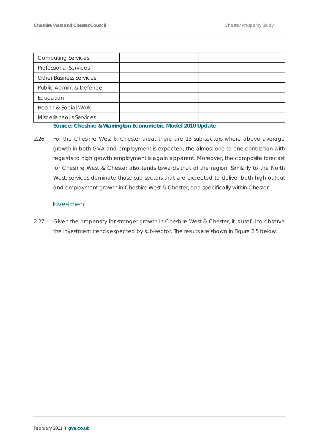| <b>Computing Services</b>      |  |
|--------------------------------|--|
| <b>Professional Services</b>   |  |
| <b>Other Business Services</b> |  |
| Public Admin. & Defence        |  |
| Education                      |  |
| Health & Social Work           |  |
| Miscellaneous Services         |  |

#### **Source; Cheshire & Warrington Econometric Model 2010 Update**

2.26 For the Cheshire West & Chester area, there are 13 sub-sectors where above average growth in both GVA and employment is expected; the almost one to one correlation with regards to high growth employment is again apparent. Moreover, the composite forecast for Cheshire West & Chester also tends towards that of the region. Similarly to the North West, services dominate those sub-sectors that are expected to deliver both high output and employment growth in Cheshire West & Chester, and specifically within Chester.

#### Investment

2.27 Given the propensity for stronger growth in Cheshire West & Chester, it is useful to observe the investment trends expected by sub-sector. The results are shown in Figure 2.5 below.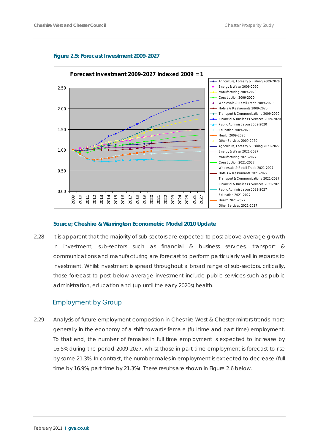



#### **Source; Cheshire & Warrington Econometric Model 2010 Update**

2.28 It is apparent that the majority of sub-sectors are expected to post above average growth in investment; sub-sectors such as financial & business services, transport & communications and manufacturing are forecast to perform particularly well in regards to investment. Whilst investment is spread throughout a broad range of sub-sectors, critically, those forecast to post below average investment include public services such as public administration, education and (up until the early 2020s) health.

#### Employment by Group

2.29 Analysis of future employment composition in Cheshire West & Chester mirrors trends more generally in the economy of a shift towards female (full time and part time) employment. To that end, the number of females in full time employment is expected to increase by 16.5% during the period 2009-2027, whilst those in part time employment is forecast to rise by some 21.3%. In contrast, the number males in employment is expected to decrease (full time by 16.9%, part time by 21.3%). These results are shown in Figure 2.6 below.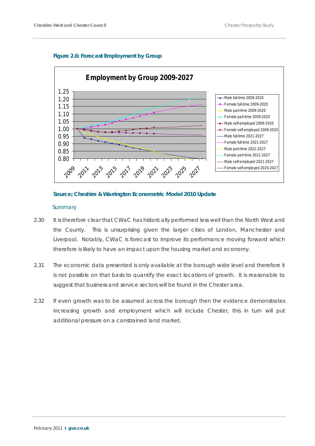#### **Figure 2.6: Forecast Employment by Group**



#### **Source; Cheshire & Warrington Econometric Model 2010 Update**

#### *Summary*

- 2.30 It is therefore clear that CWaC has historically performed less well than the North West and the County. This is unsurprising given the larger cities of London, Manchester and Liverpool. Notably, CWaC is forecast to improve its performance moving forward which therefore is likely to have an impact upon the housing market and economy.
- 2.31 The economic data presented is only available at the borough wide level and therefore it is not possible on that basis to quantify the exact locations of growth. It is reasonable to suggest that business and service sectors will be found in the Chester area.
- 2.32 If even growth was to be assumed across the borough then the evidence demonstrates increasing growth and employment which will include Chester, this in turn will put additional pressure on a constrained land market.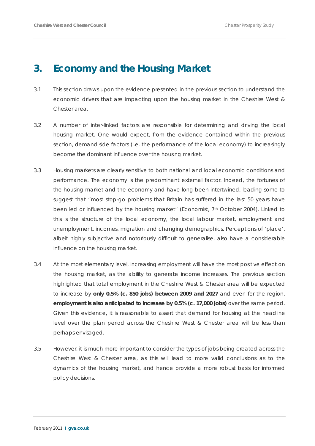# **3. Economy and the Housing Market**

- 3.1 This section draws upon the evidence presented in the previous section to understand the economic drivers that are impacting upon the housing market in the Cheshire West & Chester area.
- 3.2 A number of inter-linked factors are responsible for determining and driving the local housing market. One would expect, from the evidence contained within the previous section, demand side factors (i.e. the performance of the local economy) to increasingly become the dominant influence over the housing market.
- 3.3 Housing markets are clearly sensitive to both national and local economic conditions and performance. The economy is the predominant external factor. Indeed, the fortunes of the housing market and the economy and have long been intertwined, leading some to suggest that *"most stop-go problems that Britain has suffered in the last 50 years have*  been led or influenced by the housing market" (Economist, 7<sup>th</sup> October 2004). Linked to this is the structure of the local economy, the local labour market, employment and unemployment, incomes, migration and changing demographics. Perceptions of 'place', albeit highly subjective and notoriously difficult to generalise, also have a considerable influence on the housing market.
- 3.4 At the most elementary level, increasing employment will have the most positive effect on the housing market, as the ability to generate income increases. The previous section highlighted that total employment in the Cheshire West & Chester area will be expected to increase by **only 0.5% (c. 850 jobs) between 2009 and 2027** and even for the region, **employment is also anticipated to increase by 0.5% (c. 17,000 jobs)** over the same period. Given this evidence, it is reasonable to assert that demand for housing at the headline level over the plan period across the Cheshire West & Chester area will be less than perhaps envisaged.
- 3.5 However, it is much more important to consider the *types* of jobs being created across the Cheshire West & Chester area, as this will lead to more valid conclusions as to the dynamics of the housing market, and hence provide a more robust basis for informed policy decisions.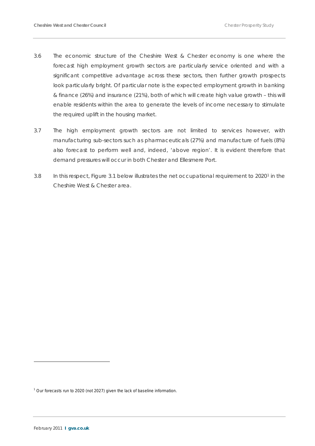- 3.6 The economic structure of the Cheshire West & Chester economy is one where the forecast high employment growth sectors are particularly service oriented and with a significant competitive advantage across these sectors, then further growth prospects look particularly bright. Of particular note is the expected employment growth in banking & finance (26%) and insurance (21%), both of which will create high value growth – this will enable residents within the area to generate the levels of income necessary to stimulate the required uplift in the housing market.
- 3.7 The high employment growth sectors are not limited to services however, with manufacturing sub-sectors such as pharmaceuticals (27%) and manufacture of fuels (8%) also forecast to perform well and, indeed, 'above region'. It is evident therefore that demand pressures will occur in both Chester and Ellesmere Port.
- 3.8 In this respect, Figure 3.[1](#page-24-0) below illustrates the net occupational requirement to 2020<sup>1</sup> in the Cheshire West & Chester area.

 $\overline{a}$ 

<span id="page-24-0"></span><sup>&</sup>lt;sup>1</sup> Our forecasts run to 2020 (not 2027) given the lack of baseline information.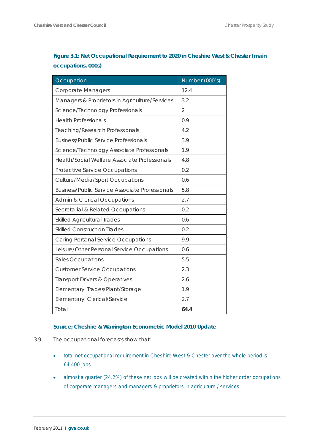# **Figure 3.1: Net Occupational Requirement to 2020 in Cheshire West & Chester (main occupations, 000s)**

| Occupation                                             | Number (000's) |
|--------------------------------------------------------|----------------|
| <b>Corporate Managers</b>                              | 12.4           |
| Managers & Proprietors in Agriculture/Services         | 3.2            |
| Science/Technology Professionals                       | $\overline{2}$ |
| <b>Health Professionals</b>                            | 0.9            |
| <b>Teaching/Research Professionals</b>                 | 4.2            |
| <b>Business/Public Service Professionals</b>           | 3.9            |
| Science/Technology Associate Professionals             | 1.9            |
| Health/Social Welfare Associate Professionals          | 4.8            |
| Protective Service Occupations                         | 0.2            |
| <b>Culture/Media/Sport Occupations</b>                 | 0.6            |
| <b>Business/Public Service Associate Professionals</b> | 5.8            |
| <b>Admin &amp; Clerical Occupations</b>                | 2.7            |
| Secretarial & Related Occupations                      | 0.2            |
| <b>Skilled Agricultural Trades</b>                     | 0.6            |
| <b>Skilled Construction Trades</b>                     | 0.2            |
| <b>Caring Personal Service Occupations</b>             | 9.9            |
| Leisure/Other Personal Service Occupations             | 0.6            |
| Sales Occupations                                      | 5.5            |
| <b>Customer Service Occupations</b>                    | 2.3            |
| Transport Drivers & Operatives                         | 2.6            |
| Elementary: Trades/Plant/Storage                       | 1.9            |
| Elementary: Clerical/Service                           | 2.7            |
| Total                                                  | 64.4           |

#### **Source; Cheshire & Warrington Econometric Model 2010 Update**

- 3.9 The occupational forecasts show that:
	- total net occupational requirement in Cheshire West & Chester over the whole period is 64,400 jobs.
	- almost a quarter (24.2%) of these net jobs will be created within the higher order occupations of corporate managers and managers & proprietors in agriculture / services.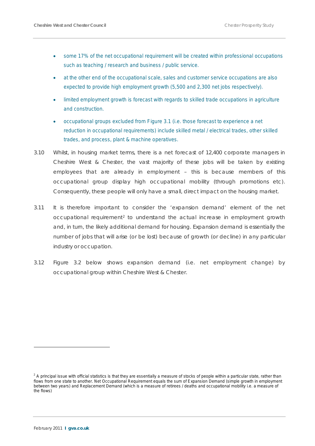- some 17% of the net occupational requirement will be created within professional occupations such as teaching / research and business / public service.
- at the other end of the occupational scale, sales and customer service occupations are also expected to provide high employment growth (5,500 and 2,300 net jobs respectively).
- limited employment growth is forecast with regards to skilled trade occupations in agriculture and construction.
- occupational groups excluded from Figure 3.1 (i.e. those forecast to experience a net reduction in occupational requirements) include skilled metal / electrical trades, other skilled trades, and process, plant & machine operatives.
- 3.10 Whilst, in housing market terms, there is a net forecast of 12,400 corporate managers in Cheshire West & Chester, the vast majority of these jobs will be taken by existing employees that are already in employment – this is because members of this occupational group display high occupational mobility (through promotions etc). Consequently, these people will only have a small, direct impact on the housing market.
- 3.11 It is therefore important to consider the 'expansion demand' element of the net occupational requirement<sup>[2](#page-26-0)</sup> to understand the actual increase in employment growth and, in turn, the likely additional demand for housing. Expansion demand is essentially the number of jobs that will arise (or be lost) because of growth (or decline) in any particular industry or occupation.
- 3.12 Figure 3.2 below shows expansion demand (i.e. net employment change) by occupational group within Cheshire West & Chester.

 $\overline{a}$ 

<span id="page-26-0"></span> $2$  A principal issue with official statistics is that they are essentially a measure of stocks of people within a particular state, rather than flows from one state to another. Net Occupational Requirement equals the sum of Expansion Demand (simple growth in employment between two years) and Replacement Demand (which is a measure of retirees / deaths and occupational mobility i.e. a measure of the flows)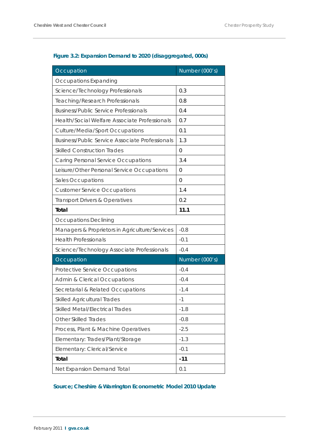# **Figure 3.2: Expansion Demand to 2020 (disaggregated, 000s)**

| Occupation                                             | Number (000's) |
|--------------------------------------------------------|----------------|
| <b>Occupations Expanding</b>                           |                |
| Science/Technology Professionals                       | 0.3            |
| <b>Teaching/Research Professionals</b>                 | 0.8            |
| <b>Business/Public Service Professionals</b>           | 0.4            |
| Health/Social Welfare Associate Professionals          | 0.7            |
| <b>Culture/Media/Sport Occupations</b>                 | 0.1            |
| <b>Business/Public Service Associate Professionals</b> | 1.3            |
| <b>Skilled Construction Trades</b>                     | $\mathbf{0}$   |
| Caring Personal Service Occupations                    | 3.4            |
| Leisure/Other Personal Service Occupations             | $\Omega$       |
| Sales Occupations                                      | $\Omega$       |
| <b>Customer Service Occupations</b>                    | 1.4            |
| Transport Drivers & Operatives                         | 0.2            |
| Total                                                  | 11.1           |
| <b>Occupations Declining</b>                           |                |
| Managers & Proprietors in Agriculture/Services         | $-0.8$         |
| <b>Health Professionals</b>                            | $-0.1$         |
| Science/Technology Associate Professionals             | $-0.4$         |
| Occupation                                             | Number (000's) |
| Protective Service Occupations                         | $-0.4$         |
| <b>Admin &amp; Clerical Occupations</b>                | $-0.4$         |
| Secretarial & Related Occupations                      | $-1.4$         |
| <b>Skilled Agricultural Trades</b>                     | $-1$           |
| <b>Skilled Metal/Electrical Trades</b>                 | $-1.8$         |
| <b>Other Skilled Trades</b>                            | $-0.8$         |
| Process, Plant & Machine Operatives                    | $-2.5$         |
| Elementary: Trades/Plant/Storage                       | $-1.3$         |
| Elementary: Clerical/Service                           | $-0.1$         |
| Total                                                  | $-11$          |
| Net Expansion Demand Total                             | 0.1            |

# **Source; Cheshire & Warrington Econometric Model 2010 Update**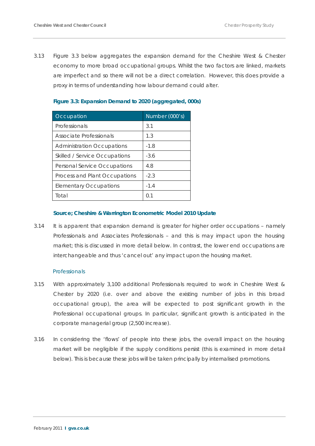3.13 Figure 3.3 below aggregates the expansion demand for the Cheshire West & Chester economy to more broad occupational groups. Whilst the two factors are linked, markets are imperfect and so there will not be a direct correlation. However, this does provide a proxy in terms of understanding how labour demand could alter.

| Occupation                        | Number (000's) |
|-----------------------------------|----------------|
| Professionals                     | 3.1            |
| Associate Professionals           | 1.3            |
| <b>Administration Occupations</b> | $-1.8$         |
| Skilled / Service Occupations     | $-3.6$         |
| Personal Service Occupations      | 4.8            |
| Process and Plant Occupations     | $-2.3$         |
| <b>Elementary Occupations</b>     | $-1.4$         |
| Total                             |                |

#### **Figure 3.3: Expansion Demand to 2020 (aggregated, 000s)**

#### **Source; Cheshire & Warrington Econometric Model 2010 Update**

3.14 It is apparent that expansion demand is greater for higher order occupations - namely Professionals and Associates Professionals – and this is may impact upon the housing market; this is discussed in more detail below. In contrast, the lower end occupations are interchangeable and thus 'cancel out' any impact upon the housing market.

#### *Professionals*

- 3.15 With approximately 3,100 additional Professionals required to work in Cheshire West & Chester by 2020 (i.e. over and above the existing number of jobs in this broad occupational group), the area will be expected to post significant growth in the Professional occupational groups. In particular, significant growth is anticipated in the corporate managerial group (2,500 increase).
- 3.16 In considering the 'flows' of people into these jobs, the overall impact on the housing market will be negligible if the supply conditions persist (this is examined in more detail below). This is because these jobs will be taken principally by internalised promotions.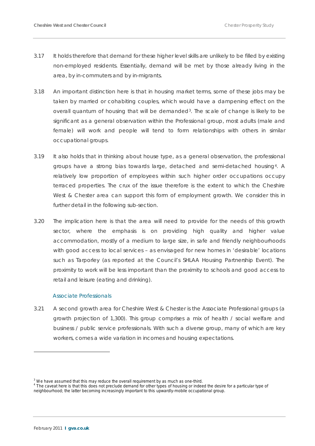- 3.17 It holds therefore that demand for these higher level skills are unlikely to be filled by existing non-employed residents. Essentially, demand will be met by those already living in the area, by in-commuters and by in-migrants.
- 3.18 An important distinction here is that in housing market terms, some of these jobs may be taken by married or cohabiting couples, which would have a dampening effect on the overall quantum of housing that will be demanded<sup>[3](#page-29-0)</sup>. The scale of change is likely to be significant as a general observation within the Professional group, most adults (male and female) will work and people will tend to form relationships with others in similar occupational groups.
- 3.19 It also holds that in thinking about house type, as a general observation, the professional groups have a strong bias towards large, detached and semi-detached housing [4](#page-29-1) . A relatively low proportion of employees within such higher order occupations occupy terraced properties. The crux of the issue therefore is the extent to which the Cheshire West & Chester area can support this form of employment growth. We consider this in further detail in the following sub-section.
- 3.20 The implication here is that the area will need to provide for the needs of this growth sector, where the emphasis is on providing high quality and higher value accommodation, mostly of a medium to large size, in safe and friendly neighbourhoods with good access to local services – as envisaged for new homes in 'desirable' locations such as Tarporley (as reported at the Council's SHLAA Housing Partnership Event). The proximity to work will be less important than the proximity to schools and good access to retail and leisure (eating and drinking).

#### *Associate Professionals*

3.21 A second growth area for Cheshire West & Chester is the Associate Professional groups (a growth projection of 1,300). This group comprises a mix of health / social welfare and business / public service professionals. With such a diverse group, many of which are key workers, comes a wide variation in incomes and housing expectations.

 $\overline{a}$ 

<span id="page-29-1"></span><span id="page-29-0"></span> $3$  We have assumed that this may reduce the overall requirement by as much as one-third.<br> $4$  The caveat here is that this does not preclude demand for other types of housing or indeed the desire for a particular type of neighbourhood; the latter becoming increasingly important to this upwardly-mobile occupational group.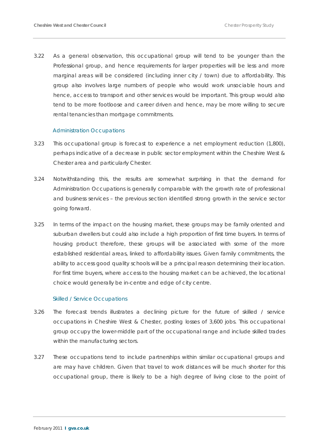3.22 As a general observation, this occupational group will tend to be younger than the Professional group, and hence requirements for larger properties will be less and more marginal areas will be considered (including inner city / town) due to affordability. This group also involves large numbers of people who would work unsociable hours and hence, access to transport and other services would be important. This group would also tend to be more footloose and career driven and hence, may be more willing to secure rental tenancies than mortgage commitments.

#### *Administration Occupations*

- 3.23 This occupational group is forecast to experience a net employment reduction (1,800), perhaps indicative of a decrease in public sector employment within the Cheshire West & Chester area and particularly Chester.
- 3.24 Notwithstanding this, the results are somewhat surprising in that the demand for Administration Occupations is generally comparable with the growth rate of professional and business services – the previous section identified strong growth in the service sector going forward.
- 3.25 In terms of the impact on the housing market, these groups may be family oriented and suburban dwellers but could also include a high proportion of first time buyers. In terms of housing product therefore, these groups will be associated with some of the more established residential areas, linked to affordability issues. Given family commitments, the ability to access good quality schools will be a principal reason determining their location. For first time buyers, where access to the housing market can be achieved, the locational choice would generally be in-centre and edge of city centre.

#### *Skilled / Service Occupations*

- 3.26 The forecast trends illustrates a declining picture for the future of skilled / service occupations in Cheshire West & Chester, posting losses of 3,600 jobs. This occupational group occupy the lower-middle part of the occupational range and include skilled trades within the manufacturing sectors.
- 3.27 These occupations tend to include partnerships within similar occupational groups and are may have children. Given that travel to work distances will be much shorter for this occupational group, there is likely to be a high degree of living close to the point of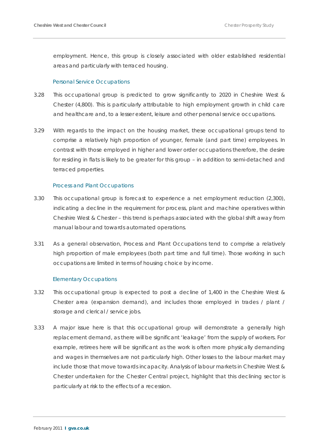employment. Hence, this group is closely associated with older established residential areas and particularly with terraced housing.

#### *Personal Service Occupations*

- 3.28 This occupational group is predicted to grow significantly to 2020 in Cheshire West & Chester (4,800). This is particularly attributable to high employment growth in child care and healthcare and, to a lesser extent, leisure and other personal service occupations.
- 3.29 With regards to the impact on the housing market, these occupational groups tend to comprise a relatively high proportion of younger, female (and part time) employees. In contrast with those employed in higher and lower order occupations therefore, the desire for residing in flats is likely to be greater for this group – in addition to semi-detached and terraced properties.

#### *Process and Plant Occupations*

- 3.30 This occupational group is forecast to experience a net employment reduction (2,300), indicating a decline in the requirement for process, plant and machine operatives within Cheshire West & Chester – this trend is perhaps associated with the global shift away from manual labour and towards automated operations.
- 3.31 As a general observation, Process and Plant Occupations tend to comprise a relatively high proportion of male employees (both part time and full time). Those working in such occupations are limited in terms of housing choice by income.

#### *Elementary Occupations*

- 3.32 This occupational group is expected to post a decline of 1,400 in the Cheshire West & Chester area (expansion demand), and includes those employed in trades / plant / storage and clerical / service jobs.
- 3.33 A major issue here is that this occupational group will demonstrate a generally high replacement demand, as there will be significant 'leakage' from the supply of workers. For example, retirees here will be significant as the work is often more physically demanding and wages in themselves are not particularly high. Other losses to the labour market may include those that move towards incapacity. Analysis of labour markets in Cheshire West & Chester undertaken for the Chester Central project, highlight that this declining sector is particularly at risk to the effects of a recession.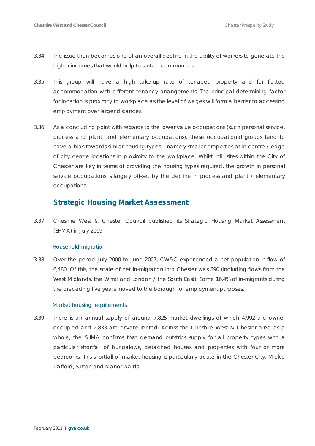- 3.34 The issue then becomes one of an overall decline in the ability of workers to generate the higher incomes that would help to sustain communities.
- 3.35 This group will have a high take-up rate of terraced property and for flatted accommodation with different tenancy arrangements. The principal determining factor for location is proximity to workplace as the level of wages will form a barrier to accessing employment over larger distances.
- 3.36 As a concluding point with regards to the lower value occupations (such personal service, process and plant, and elementary occupations), these occupational groups tend to have a bias towards similar housing types - namely smaller properties at in-centre / edge of city centre locations in proximity to the workplace. Whilst infill sites within the City of Chester are key in terms of providing the housing types required, the growth in personal service occupations is largely off-set by the decline in process and plant / elementary occupations.

# **Strategic Housing Market Assessment**

3.37 Cheshire West & Chester Council published its Strategic Housing Market Assessment (SHMA) in July 2009.

#### *Household migration*

3.38 Over the period July 2000 to June 2007, CW&C experienced a net population in-flow of 6,480. Of this, the scale of net in-migration into Chester was 890 (including flows from the West Midlands, the Wirral and London / the South East). Some 16.4% of in-migrants during the preceding five years moved to the borough for employment purposes.

#### *Market housing requirements*

3.39 There is an annual supply of around 7,825 market dwellings of which 4,992 are owner occupied and 2,833 are private rented. Across the Cheshire West & Chester area as a whole, the SHMA confirms that demand outstrips supply for all property types with a particular shortfall of bungalows, detached houses and properties with four or more bedrooms. This shortfall of market housing is particularly acute in the Chester City, Mickle Trafford, Sutton and Manor wards.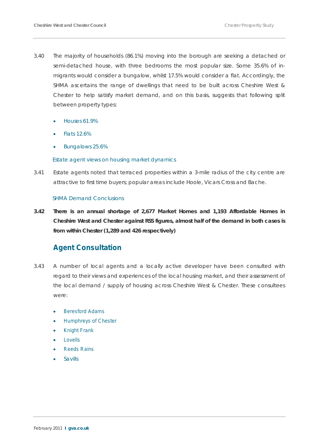- 3.40 The majority of households (86.1%) moving into the borough are seeking a detached or semi-detached house, with three bedrooms the most popular size. Some 35.6% of inmigrants would consider a bungalow, whilst 17.5% would consider a flat. Accordingly, the SHMA ascertains the range of dwellings that need to be built across Cheshire West & Chester to help satisfy market demand, and on this basis, suggests that following split between property types:
	- Houses 61.9%
	- Flats 12.6%
	- Bungalows 25.6%

#### *Estate agent views on housing market dynamics*

3.41 Estate agents noted that terraced properties within a 3-mile radius of the city centre are attractive to first time buyers; popular areas include Hoole, Vicars Cross and Bache.

#### *SHMA Demand Conclusions*

**3.42 There is an annual shortage of 2,677 Market Homes and 1,193 Affordable Homes in Cheshire West and Chester against RSS figures, almost half of the demand in both cases is from within Chester (1,289 and 426 respectively)**

# **Agent Consultation**

- 3.43 A number of local agents and a locally active developer have been consulted with regard to their views and experiences of the local housing market, and their assessment of the local demand / supply of housing across Cheshire West & Chester. These consultees were:
	- **Beresford Adams**
	- Humphreys of Chester
	- **Knight Frank**
	- **Lovells**
	- **Reeds Rains**
	- Savills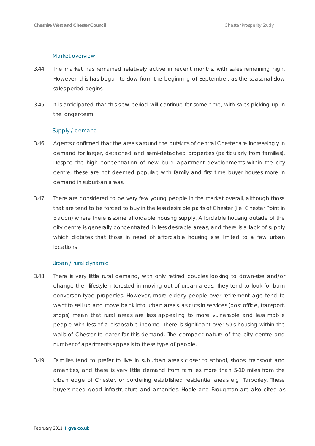#### *Market overview*

- 3.44 The market has remained relatively active in recent months, with sales remaining high. However, this has begun to slow from the beginning of September, as the seasonal slow sales period begins.
- 3.45 It is anticipated that this slow period will continue for some time, with sales picking up in the longer-term.

#### *Supply / demand*

- 3.46 Agents confirmed that the areas around the outskirts of central Chester are increasingly in demand for larger, detached and semi-detached properties (particularly from families). Despite the high concentration of new build apartment developments within the city centre, these are not deemed popular, with family and first time buyer houses more in demand in suburban areas.
- 3.47 There are considered to be very few young people in the market overall, although those that are tend to be forced to buy in the less desirable parts of Chester (i.e. Chester Point in Blacon) where there is some affordable housing supply. Affordable housing outside of the city centre is generally concentrated in less desirable areas, and there is a lack of supply which dictates that those in need of affordable housing are limited to a few urban locations.

#### *Urban / rural dynamic*

- 3.48 There is very little rural demand, with only retired couples looking to down-size and/or change their lifestyle interested in moving out of urban areas. They tend to look for barn conversion-type properties. However, more elderly people over retirement age tend to want to sell up and move back into urban areas, as cuts in services (post office, transport, shops) mean that rural areas are less appealing to more vulnerable and less mobile people with less of a disposable income. There is significant over-50's housing within the walls of Chester to cater for this demand. The compact nature of the city centre and number of apartments appeals to these type of people.
- 3.49 Families tend to prefer to live in suburban areas closer to school, shops, transport and amenities, and there is very little demand from families more than 5-10 miles from the urban edge of Chester, or bordering established residential areas e.g. Tarporley. These buyers need good infrastructure and amenities. Hoole and Broughton are also cited as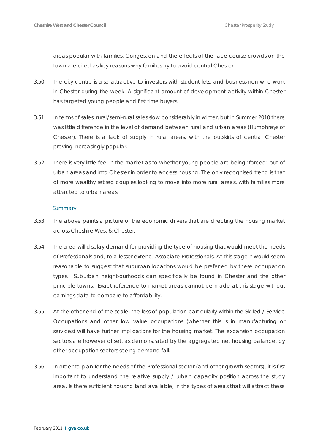areas popular with families. Congestion and the effects of the race course crowds on the town are cited as key reasons why families try to avoid central Chester.

- 3.50 The city centre is also attractive to investors with student lets, and businessmen who work in Chester during the week. A significant amount of development activity within Chester has targeted young people and first time buyers.
- 3.51 In terms of sales, rural/semi-rural sales slow considerably in winter, but in Summer 2010 there was little difference in the level of demand between rural and urban areas (Humphreys of Chester). There is a lack of supply in rural areas, with the outskirts of central Chester proving increasingly popular.
- 3.52 There is very little feel in the market as to whether young people are being 'forced' out of urban areas and into Chester in order to access housing. The only recognised trend is that of more wealthy retired couples looking to move into more rural areas, with families more attracted to urban areas.

#### *Summary*

- 3.53 The above paints a picture of the economic drivers that are directing the housing market across Cheshire West & Chester.
- 3.54 The area will display demand for providing the type of housing that would meet the needs of Professionals and, to a lesser extend, Associate Professionals. At this stage it would seem reasonable to suggest that suburban locations would be preferred by these occupation types. Suburban neighbourhoods can specifically be found in Chester and the other principle towns. Exact reference to market areas cannot be made at this stage without earnings data to compare to affordability.
- 3.55 At the other end of the scale, the loss of population particularly within the Skilled / Service Occupations and other low value occupations (whether this is in manufacturing or services) will have further implications for the housing market. The expansion occupation sectors are however offset, as demonstrated by the aggregated net housing balance, by other occupation sectors seeing demand fall.
- 3.56 In order to plan for the needs of the Professional sector (and other growth sectors), it is first important to understand the relative supply / urban capacity position across the study area. Is there sufficient housing land available, in the types of areas that will attract these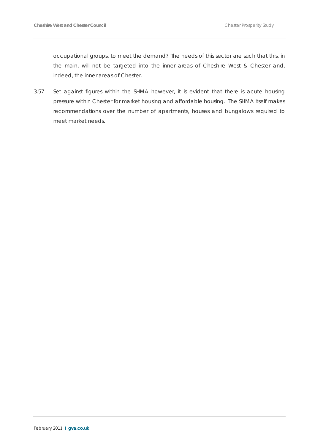occupational groups, to meet the demand? The needs of this sector are such that this, in the main, will not be targeted into the inner areas of Cheshire West & Chester and, indeed, the inner areas of Chester.

3.57 Set against figures within the SHMA however, it is evident that there is acute housing pressure within Chester for market housing and affordable housing. The SHMA itself makes recommendations over the number of apartments, houses and bungalows required to meet market needs.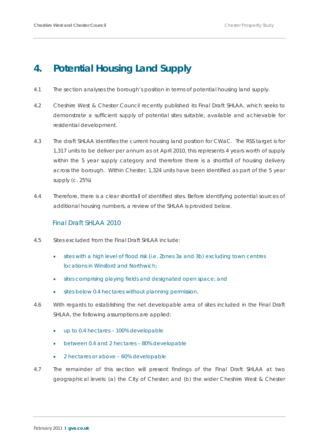# **4. Potential Housing Land Supply**

- 4.1 The section analyses the borough's position in terms of potential housing land supply.
- 4.2 Cheshire West & Chester Council recently published its Final Draft SHLAA, which seeks to demonstrate a sufficient supply of potential sites suitable, available and achievable for residential development.
- 4.3 The draft SHLAA identifies the current housing land position for CWaC. The RSS target is for 1,317 units to be deliver per annum as ot April 2010, this represents 4 years worth of supply within the 5 year supply category and therefore there is a shortfall of housing delivery across the borough. Within Chester, 1,324 units have been identified as part of the 5 year supply (c. 25%)
- 4.4 Therefore, there is a clear shortfall of identified sites. Before identifying potential sources of additional housing numbers, a review of the SHLAA is provided below.

## Final Draft SHLAA 2010

- 4.5 Sites excluded from the Final Draft SHLAA include:
	- sites with a high level of flood risk (i.e. Zones 3a and 3b) excluding town centres locations in Winsford and Northwich;
	- sites comprising playing fields and designated open space; and
	- sites below 0.4 hectares without planning permission.
- 4.6 With regards to establishing the net developable area of sites included in the Final Draft SHLAA, the following assumptions are applied:
	- up to 0.4 hectares 100% developable
	- between 0.4 and 2 hectares 80% developable
	- 2 hectares or above 60% developable
- 4.7 The remainder of this section will present findings of the Final Draft SHLAA at two geographical levels: (a) the City of Chester; and (b) the wider Cheshire West & Chester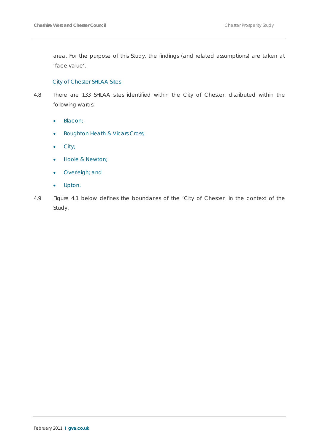area. For the purpose of this Study, the findings (and related assumptions) are taken at 'face value'.

#### *City of Chester SHLAA Sites*

- 4.8 There are 133 SHLAA sites identified within the City of Chester, distributed within the following wards:
	- Blacon;
	- Boughton Heath & Vicars Cross;
	- City;
	- Hoole & Newton;
	- Overleigh; and
	- Upton.
- 4.9 Figure 4.1 below defines the boundaries of the 'City of Chester' in the context of the Study.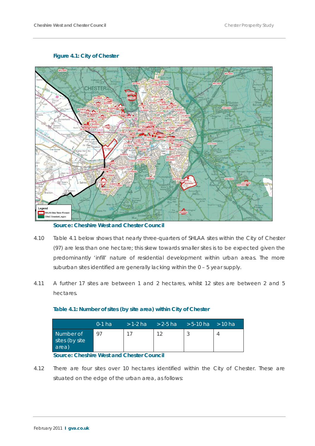#### **Figure 4.1: City of Chester**



**Source: Cheshire West and Chester Council**

- 4.10 Table 4.1 below shows that nearly three-quarters of SHLAA sites within the City of Chester (97) are less than one hectare; this skew towards smaller sites is to be expected given the predominantly 'infill' nature of residential development within urban areas. The more suburban sites identified are generally lacking within the 0 – 5 year supply.
- 4.11 A further 17 sites are between 1 and 2 hectares, whilst 12 sites are between 2 and 5 hectares.

|                                      | $0-1$ ha | $>$ 1-2 ha $>$ 2-5 ha $>$ 5-10 ha $>$ 10 ha |  |
|--------------------------------------|----------|---------------------------------------------|--|
| Number of<br>sites (by site<br>area) | 97       | 12                                          |  |

#### **Table 4.1: Number of sites (by site area) within City of Chester**

#### **Source: Cheshire West and Chester Council**

4.12 There are four sites over 10 hectares identified within the City of Chester. These are situated on the edge of the urban area, as follows: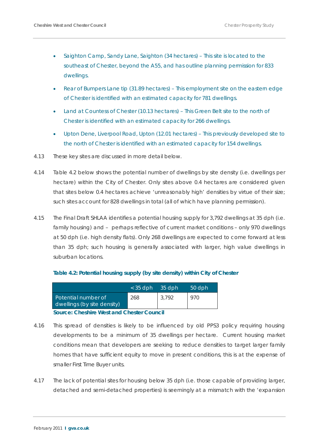- Saighton Camp, Sandy Lane, Saighton (34 hectares) This site is located to the southeast of Chester, beyond the A55, and has outline planning permission for 833 dwellings.
- Rear of Bumpers Lane tip (31.89 hectares) This employment site on the eastern edge of Chester is identified with an estimated capacity for 781 dwellings.
- Land at Countess of Chester (10.13 hectares) This Green Belt site to the north of Chester is identified with an estimated capacity for 266 dwellings.
- Upton Dene, Liverpool Road, Upton (12.01 hectares) This previously developed site to the north of Chester is identified with an estimated capacity for 154 dwellings.
- 4.13 These key sites are discussed in more detail below.
- 4.14 Table 4.2 below shows the potential number of dwellings by site density (i.e. dwellings per hectare) within the City of Chester. Only sites above 0.4 hectares are considered given that sites below 0.4 hectares achieve 'unreasonably high' densities by virtue of their size; such sites account for 828 dwellings in total (all of which have planning permission).
- 4.15 The Final Draft SHLAA identifies a potential housing supply for 3,792 dwellings at 35 dph (i.e. family housing) and – perhaps reflective of current market conditions – only 970 dwellings at 50 dph (i.e. high density flats). Only 268 dwellings are expected to come forward at less than 35 dph; such housing is generally associated with larger, high value dwellings in suburban locations.

#### **Table 4.2: Potential housing supply (by site density) within City of Chester**

|                                                    | $<$ 35 dph | 35 dph | 50 dph |
|----------------------------------------------------|------------|--------|--------|
| Potential number of<br>dwellings (by site density) | 268        | 3.792  | 970    |

#### **Source: Cheshire West and Chester Council**

- 4.16 This spread of densities is likely to be influenced by old PPS3 policy requiring housing developments to be a minimum of 35 dwellings per hectare. Current housing market conditions mean that developers are seeking to reduce densities to target larger family homes that have sufficient equity to move in present conditions, this is at the expense of smaller First Time Buyer units.
- 4.17 The lack of potential sites for housing below 35 dph (i.e. those capable of providing larger, detached and semi-detached properties) is seemingly at a mismatch with the 'expansion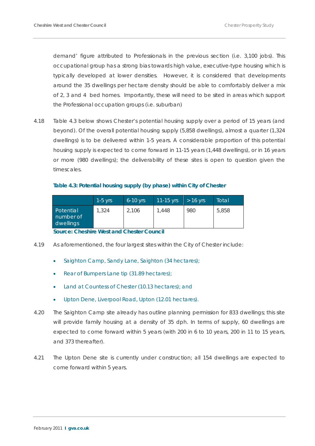demand' figure attributed to *Professionals* in the previous section (i.e. 3,100 jobs). This occupational group has a strong bias towards high value, executive-type housing which is typically developed at lower densities. However, it is considered that developments around the 35 dwellings per hectare density should be able to comfortably deliver a mix of 2, 3 and 4 bed homes. Importantly, these will need to be sited in areas which support the Professional occupation groups (i.e. suburban)

4.18 Table 4.3 below shows Chester's potential housing supply over a period of 15 years (and beyond). Of the overall potential housing supply (5,858 dwellings), almost a quarter (1,324 dwellings) is to be delivered within 1-5 years. A considerable proportion of this potential housing supply is expected to come forward in 11-15 years (1,448 dwellings), or in 16 years or more (980 dwellings); the deliverability of these sites is open to question given the timescales.

#### **Table 4.3: Potential housing supply (by phase) within City of Chester**

|                                     | $1-5$ yrs | $6-10$ yrs | $11 - 15$ yrs | $> 16$ yrs | Total |
|-------------------------------------|-----------|------------|---------------|------------|-------|
| Potential<br>number of<br>dwellings | 1,324     | 2,106      | 1.448         | 980        | 5,858 |

**Source: Cheshire West and Chester Council**

- 4.19 As aforementioned, the four largest sites within the City of Chester include:
	- Saighton Camp, Sandy Lane, Saighton (34 hectares);
	- Rear of Bumpers Lane tip (31.89 hectares);
	- Land at Countess of Chester (10.13 hectares); and
	- Upton Dene, Liverpool Road, Upton (12.01 hectares).
- 4.20 The Saighton Camp site already has outline planning permission for 833 dwellings; this site will provide family housing at a density of 35 dph. In terms of supply, 60 dwellings are expected to come forward within 5 years (with 200 in 6 to 10 years, 200 in 11 to 15 years, and 373 thereafter).
- 4.21 The Upton Dene site is currently under construction; all 154 dwellings are expected to come forward within 5 years.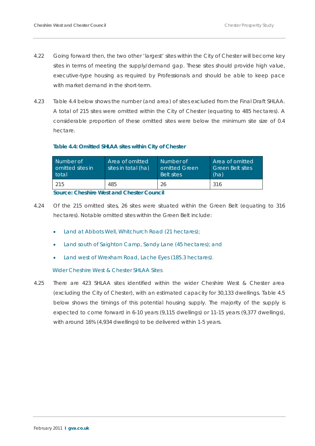- 4.22 Going forward then, the two other 'largest' sites within the City of Chester will become key sites in terms of meeting the supply/demand gap. These sites should provide high value, executive-type housing as required by *Professionals* and should be able to keep pace with market demand in the short-term.
- 4.23 Table 4.4 below shows the number (and area) of sites excluded from the Final Draft SHLAA. A total of 215 sites were omitted within the City of Chester (equating to 485 hectares). A considerable proportion of these omitted sites were below the minimum site size of 0.4 hectare.

#### **Table 4.4: Omitted SHLAA sites within City of Chester**

| Number of<br>comitted sites in<br>total | Area of omitted<br>sites in total (ha) <sup>1</sup> | Number of<br>omitted Green <sup>1</sup><br><b>Belt sites</b> | Area of omitted<br><b>Green Belt sites</b><br>(ha) |
|-----------------------------------------|-----------------------------------------------------|--------------------------------------------------------------|----------------------------------------------------|
| 215                                     | 485                                                 |                                                              | 316                                                |

**Source: Cheshire West and Chester Council**

- 4.24 Of the 215 omitted sites, 26 sites were situated within the Green Belt (equating to 316 hectares). Notable omitted sites within the Green Belt include:
	- Land at Abbots Well, Whitchurch Road (21 hectares);
	- Land south of Saighton Camp, Sandy Lane (45 hectares); and
	- Land west of Wrexham Road, Lache Eyes (185.3 hectares).

#### *Wider Cheshire West & Chester SHLAA Sites*

4.25 There are 423 SHLAA sites identified within the wider Cheshire West & Chester area (excluding the City of Chester), with an estimated capacity for 30,133 dwellings. Table 4.5 below shows the timings of this potential housing supply. The majority of the supply is expected to come forward in 6-10 years (9,115 dwellings) or 11-15 years (9,377 dwellings), with around 16% (4,934 dwellings) to be delivered within 1-5 years.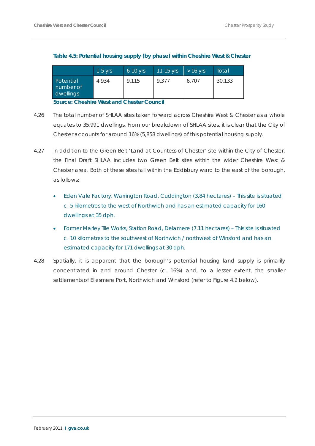|                                     | $1-5$ yrs | $6-10$ yrs | $11-15$ yrs | $> 16$ yrs | Total  |
|-------------------------------------|-----------|------------|-------------|------------|--------|
| Potential<br>number of<br>dwellings | 4.934     | 9.115      | 9.377       | 6.707      | 30,133 |

#### **Table 4.5: Potential housing supply (by phase) within Cheshire West & Chester**

**Source: Cheshire West and Chester Council**

- 4.26 The total number of SHLAA sites taken forward across Cheshire West & Chester as a whole equates to 35,991 dwellings. From our breakdown of SHLAA sites, it is clear that the City of Chester accounts for around 16% (5,858 dwellings) of this potential housing supply.
- 4.27 In addition to the Green Belt 'Land at Countess of Chester' site within the City of Chester, the Final Draft SHLAA includes two Green Belt sites within the wider Cheshire West & Chester area. Both of these sites fall within the Eddisbury ward to the east of the borough, as follows:
	- Eden Vale Factory, Warrington Road, Cuddington (3.84 hectares) This site is situated c. 5 kilometres to the west of Northwich and has an estimated capacity for 160 dwellings at 35 dph.
	- Former Marley Tile Works, Station Road, Delamere (7.11 hectares) This site is situated c. 10 kilometres to the southwest of Northwich / northwest of Winsford and has an estimated capacity for 171 dwellings at 30 dph.
- 4.28 Spatially, it is apparent that the borough's potential housing land supply is primarily concentrated in and around Chester (c. 16%) and, to a lesser extent, the smaller settlements of Ellesmere Port, Northwich and Winsford (refer to Figure 4.2 below).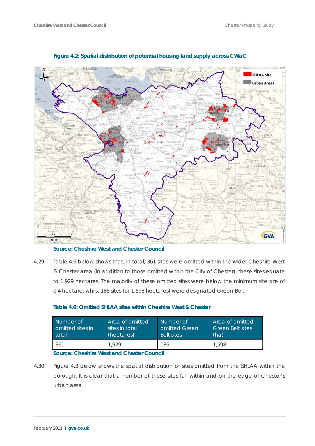

#### **Figure 4.2: Spatial distribution of potential housing land supply across CWaC**

**Source: Cheshire West and Chester Council**

4.29 Table 4.6 below shows that, in total, 361 sites were omitted within the wider Cheshire West & Chester area (in addition to those omitted within the City of Chester); these sites equate to 1,929 hectares. The majority of these omitted sites were below the minimum site size of 0.4 hectare, whilst 186 sites (or 1,598 hectares) were designated Green Belt.

| Number of         | Area of omitted | Number of         | Area of omitted         |
|-------------------|-----------------|-------------------|-------------------------|
| comitted sites in | sites in total  | omitted Green     | <b>Green Belt sites</b> |
| total             | (hectares)      | <b>Belt sites</b> | (ha)                    |
| 361               | .929            | 186               | 1.598                   |

#### **Table 4.6: Omitted SHLAA sites within Cheshire West & Chester**

#### **Source: Cheshire West and Chester Council**

4.30 Figure 4.3 below shows the spatial distribution of sites omitted from the SHLAA within the borough. It is clear that a number of these sites fall within and on the edge of Chester's urban area.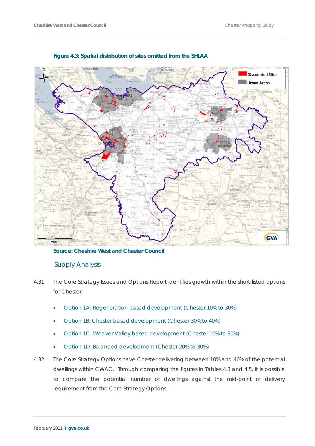



**Source: Cheshire West and Chester Council**

## Supply Analysis

- 4.31 The Core Strategy Issues and Options Report identifies growth within the short-listed options for Chester.
	- Option 1A: Regeneration based development (Chester 10% to 30%)
	- Option 1B: Chester based development (Chester 30% to 40%)
	- Option 1C: Weaver Valley based development (Chester 10% to 30%)
	- Option 1D: Balanced development (Chester 20% to 30%)
- 4.32 The Core Strategy Options have Chester delivering between 10% and 40% of the potential dwellings within CWAC. Through comparing the figures in Tables 4.3 and 4.5, it is possible to compare the potential number of dwellings against the mid-point of delivery requirement from the Core Strategy Options.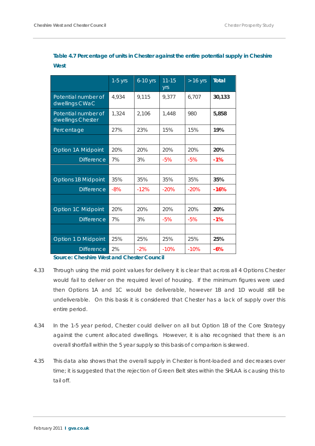|                                          | $1-5$ yrs | $6-10$ yrs | $11 - 15$<br>yrs | $> 16$ yrs | <b>Total</b> |
|------------------------------------------|-----------|------------|------------------|------------|--------------|
| Potential number of<br>dwellings CWaC    | 4,934     | 9,115      | 9,377            | 6,707      | 30,133       |
| Potential number of<br>dwellings Chester | 1,324     | 2,106      | 1,448            | 980        | 5,858        |
| Percentage                               | 27%       | 23%        | 15%              | 15%        | 19%          |
|                                          |           |            |                  |            |              |
| Option 1A Midpoint                       | 20%       | 20%        | 20%              | 20%        | 20%          |
| <b>Difference</b>                        | 7%        | 3%         | $-5%$            | $-5%$      | $-1%$        |
|                                          |           |            |                  |            |              |
| <b>Options 1B Midpoint</b>               | 35%       | 35%        | 35%              | 35%        | 35%          |
| <b>Difference</b>                        | $-8%$     | $-12%$     | $-20%$           | $-20%$     | $-16%$       |
|                                          |           |            |                  |            |              |
| Option 1C Midpoint                       | 20%       | 20%        | 20%              | 20%        | 20%          |
| <b>Difference</b>                        | 7%        | 3%         | $-5%$            | $-5%$      | $-1%$        |
|                                          |           |            |                  |            |              |
| Option 1 D Midpoint                      | 25%       | 25%        | 25%              | 25%        | 25%          |
| <b>Difference</b>                        | 2%        | $-2%$      | $-10%$           | $-10%$     | $-6%$        |

**Table 4.7 Percentage of units in Chester against the entire potential supply in Cheshire West**

**Source: Cheshire West and Chester Council**

- 4.33 Through using the mid point values for delivery it is clear that across all 4 Options Chester would fail to deliver on the required level of housing. If the minimum figures were used then Options 1A and 1C would be deliverable, however 1B and 1D would still be undeliverable. On this basis it is considered that Chester has a lack of supply over this entire period.
- 4.34 In the 1-5 year period, Chester could deliver on all but Option 1B of the Core Strategy against the current allocated dwellings. However, it is also recognised that there is an overall shortfall within the 5 year supply so this basis of comparison is skewed.
- 4.35 This data also shows that the overall supply in Chester is front-loaded and decreases over time; it is suggested that the rejection of Green Belt sites within the SHLAA is causing this to tail off.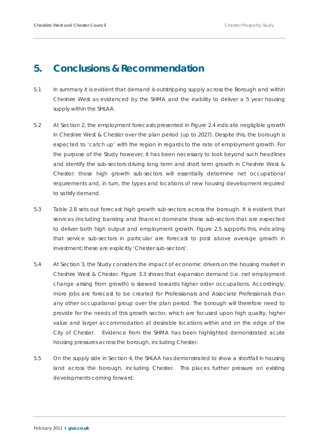# **5. Conclusions & Recommendation**

- 5.1 In summary it is evident that demand is outstripping supply across the Borough and within Cheshire West as evidenced by the SHMA and the inability to deliver a 5 year housing supply within the SHLAA.
- 5.2 At Section 2, the employment forecasts presented in Figure 2.4 indicate negligible growth in Cheshire West & Chester over the plan period (up to 2027). Despite this, the borough is expected to 'catch up' with the region in regards to the rate of employment growth. For the purpose of the Study however, it has been necessary to look beyond such headlines and identify the sub-sectors driving long term and short term growth in Cheshire West & Chester; those high growth sub-sectors will essentially determine net occupational requirements and, in turn, the types and locations of new housing development required to satisfy demand.
- 5.3 Table 2.8 sets out forecast high growth sub-sectors across the borough. It is evident that services (including banking and finance) dominate those sub-sectors that are expected to deliver both high output and employment growth. Figure 2.5 supports this, indicating that service sub-sectors in particular are forecast to post above average growth in investment; these are explicitly 'Chester sub-sectors'.
- 5.4 At Section 3, the Study considers the impact of economic drivers on the housing market in Cheshire West & Chester. Figure 3.3 shows that expansion demand (i.e. net employment change arising from growth) is skewed towards higher order occupations. Accordingly, more jobs are forecast to be created for Professionals and Associate Professionals than any other occupational group over the plan period. The borough will therefore need to provide for the needs of this growth sector, which are focused upon high quality, higher value and larger accommodation at desirable locations within and on the edge of the City of Chester. Evidence from the SHMA has been highlighted demonstrated acute housing pressures across the borough, including Chester.
- 5.5 On the supply side in Section 4, the SHLAA has demonstrated to show a shortfall in housing land across the borough, including Chester. This places further pressure on existing developments coming forward.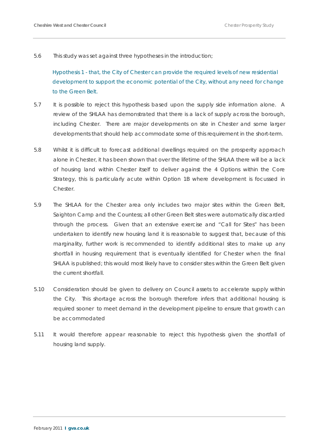5.6 This study was set against three hypotheses in the introduction;

*Hypothesis 1 - that, the City of Chester can provide the required levels of new residential development to support the economic potential of the City, without any need for change to the Green Belt.*

- 5.7 It is possible to reject this hypothesis based upon the supply side information alone. A review of the SHLAA has demonstrated that there is a lack of supply across the borough, including Chester. There are major developments on site in Chester and some larger developments that should help accommodate some of this requirement in the short-term.
- 5.8 Whilst it is difficult to forecast additional dwellings required on the prosperity approach alone in Chester, it has been shown that over the lifetime of the SHLAA there will be a lack of housing land within Chester itself to deliver against the 4 Options within the Core Strategy, this is particularly acute within Option 1B where development is focussed in Chester.
- 5.9 The SHLAA for the Chester area only includes two major sites within the Green Belt, Saighton Camp and the Countess; all other Green Belt sites were automatically discarded through the process. Given that an extensive exercise and "Call for Sites" has been undertaken to identify new housing land it is reasonable to suggest that, because of this marginality, further work is recommended to identify additional sites to make up any shortfall in housing requirement that is eventually identified for Chester when the final SHLAA is published; this would most likely have to consider sites within the Green Belt given the current shortfall.
- 5.10 Consideration should be given to delivery on Council assets to accelerate supply within the City. This shortage across the borough therefore infers that additional housing is required sooner to meet demand in the development pipeline to ensure that growth can be accommodated
- 5.11 It would therefore appear reasonable to reject this hypothesis given the shortfall of housing land supply.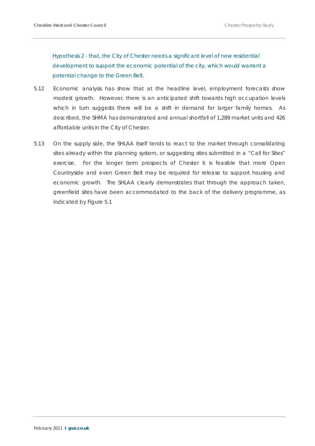*Hypothesis 2 - that, the City of Chester needs a significant level of new residential development to support the economic potential of the city, which would warrant a potential change to the Green Belt.*

- 5.12 Economic analysis has show that at the headline level, employment forecasts show modest growth. However, there is an anticipated shift towards high occupation levels which in turn suggests there will be a shift in demand for larger family homes. As described, the SHMA has demonstrated and annual shortfall of 1,289 market units and 426 affordable units in the City of Chester.
- 5.13 On the supply side, the SHLAA itself tends to react to the market through consolidating sites already within the planning system, or suggesting sites submitted in a "Call for Sites" exercise. For the longer term prospects of Chester it is feasible that more Open Countryside and even Green Belt may be required for release to support housing and economic growth. The SHLAA clearly demonstrates that through the approach taken, greenfield sites have been accommodated to the back of the delivery programme, as indicated by Figure 5.1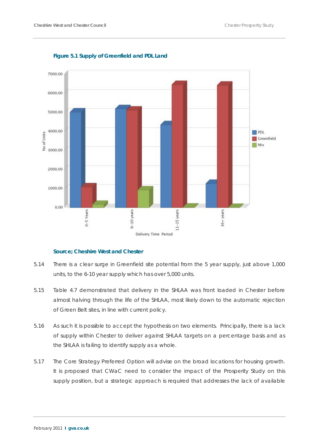

**Figure 5.1 Supply of Greenfield and PDL Land**

#### **Source; Cheshire West and Chester**

- 5.14 There is a clear surge in Greenfield site potential from the 5 year supply, just above 1,000 units, to the 6-10 year supply which has over 5,000 units.
- 5.15 Table 4.7 demonstrated that delivery in the SHLAA was front loaded in Chester before almost halving through the life of the SHLAA, most likely down to the automatic rejection of Green Belt sites, in line with current policy.
- 5.16 As such it is possible to accept the hypothesis on two elements. Principally, there is a lack of supply within Chester to deliver against SHLAA targets on a percentage basis and as the SHLAA is failing to identify supply as a whole.
- 5.17 The Core Strategy Preferred Option will advise on the broad locations for housing growth. It is proposed that CWaC need to consider the impact of the Prosperity Study on this supply position, but a strategic approach is required that addresses the lack of available